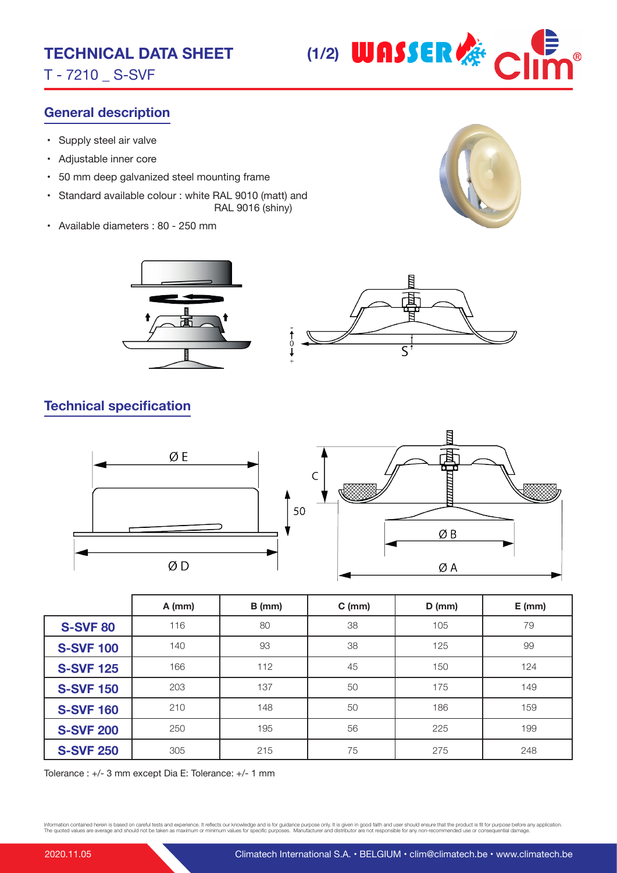T - 7210 \_ S-SVF



## **General description**

- Supply steel air valve
- Adjustable inner core
- 50 mm deep galvanized steel mounting frame
- Standard available colour : white RAL 9010 (matt) and RAL 9016 (shiny)
- Available diameters : 80 250 mm







## **Technical specification**



|                  | $A$ (mm) | $B$ (mm) | $C$ (mm) | $D$ (mm) | $E$ (mm) |
|------------------|----------|----------|----------|----------|----------|
| <b>S-SVF 80</b>  | 116      | 80       | 38       | 105      | 79       |
| <b>S-SVF 100</b> | 140      | 93       | 38       | 125      | 99       |
| <b>S-SVF 125</b> | 166      | 112      | 45       | 150      | 124      |
| <b>S-SVF 150</b> | 203      | 137      | 50       | 175      | 149      |
| <b>S-SVF 160</b> | 210      | 148      | 50       | 186      | 159      |
| <b>S-SVF 200</b> | 250      | 195      | 56       | 225      | 199      |
| <b>S-SVF 250</b> | 305      | 215      | 75       | 275      | 248      |

Tolerance : +/- 3 mm except Dia E: Tolerance: +/- 1 mm

Information contained herein is based on careful tests and experience. It reflects our knowledge and is for guidance purpose only. It is given in good faith and user should ensure that the product is fit for purpose before